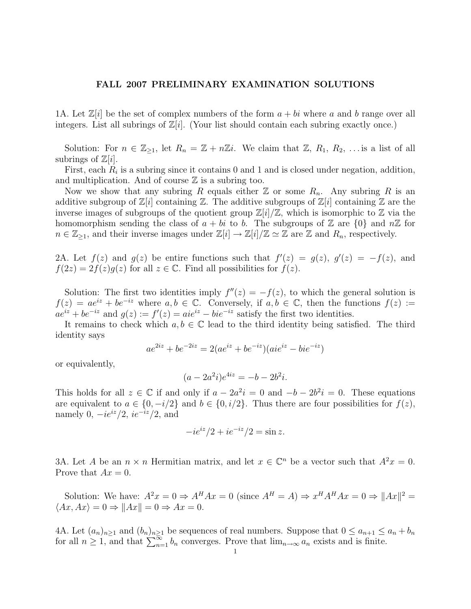## FALL 2007 PRELIMINARY EXAMINATION SOLUTIONS

1A. Let  $\mathbb{Z}[i]$  be the set of complex numbers of the form  $a + bi$  where a and b range over all integers. List all subrings of  $\mathbb{Z}[i]$ . (Your list should contain each subring exactly once.)

Solution: For  $n \in \mathbb{Z}_{\geq 1}$ , let  $R_n = \mathbb{Z} + n\mathbb{Z}i$ . We claim that  $\mathbb{Z}, R_1, R_2, \ldots$  is a list of all subrings of  $\mathbb{Z}[i]$ .

First, each  $R_i$  is a subring since it contains 0 and 1 and is closed under negation, addition, and multiplication. And of course  $\mathbb Z$  is a subring too.

Now we show that any subring R equals either  $\mathbb Z$  or some  $R_n$ . Any subring R is an additive subgroup of  $\mathbb{Z}[i]$  containing  $\mathbb{Z}$ . The additive subgroups of  $\mathbb{Z}[i]$  containing  $\mathbb{Z}$  are the inverse images of subgroups of the quotient group  $\mathbb{Z}[i]/\mathbb{Z}$ , which is isomorphic to  $\mathbb Z$  via the homomorphism sending the class of  $a + bi$  to b. The subgroups of Z are  $\{0\}$  and  $n\mathbb{Z}$  for  $n \in \mathbb{Z}_{\geq 1}$ , and their inverse images under  $\mathbb{Z}[i] \to \mathbb{Z}[i]/\mathbb{Z} \simeq \mathbb{Z}$  are  $\mathbb{Z}$  and  $R_n$ , respectively.

2A. Let  $f(z)$  and  $g(z)$  be entire functions such that  $f'(z) = g(z)$ ,  $g'(z) = -f(z)$ , and  $f(2z) = 2f(z)g(z)$  for all  $z \in \mathbb{C}$ . Find all possibilities for  $f(z)$ .

Solution: The first two identities imply  $f''(z) = -f(z)$ , to which the general solution is  $f(z) = ae^{iz} + be^{-iz}$  where  $a, b \in \mathbb{C}$ . Conversely, if  $a, b \in \mathbb{C}$ , then the functions  $f(z) :=$  $ae^{iz} + be^{-iz}$  and  $g(z) := f'(z) = aie^{iz} - bie^{-iz}$  satisfy the first two identities.

It remains to check which  $a, b \in \mathbb{C}$  lead to the third identity being satisfied. The third identity says

$$
ae^{2iz} + be^{-2iz} = 2(ae^{iz} + be^{-iz})(aie^{iz} - bie^{-iz})
$$

or equivalently,

$$
(a - 2a^2 i)e^{4iz} = -b - 2b^2 i.
$$

This holds for all  $z \in \mathbb{C}$  if and only if  $a - 2a^2i = 0$  and  $-b - 2b^2i = 0$ . These equations are equivalent to  $a \in \{0, -i/2\}$  and  $b \in \{0, i/2\}$ . Thus there are four possibilities for  $f(z)$ , namely 0,  $-ie^{iz}/2$ ,  $ie^{-iz}/2$ , and

$$
-ie^{iz}/2 + ie^{-iz}/2 = \sin z.
$$

3A. Let A be an  $n \times n$  Hermitian matrix, and let  $x \in \mathbb{C}^n$  be a vector such that  $A^2x = 0$ . Prove that  $Ax = 0$ .

Solution: We have:  $A^2x = 0 \Rightarrow A^H Ax = 0$  (since  $A^H = A$ )  $\Rightarrow x^H A^H Ax = 0 \Rightarrow ||Ax||^2 =$  $\langle Ax, Ax \rangle = 0 \Rightarrow ||Ax|| = 0 \Rightarrow Ax = 0.$ 

4A. Let  $(a_n)_{n\geq 1}$  and  $(b_n)_{n\geq 1}$  be sequences of real numbers. Suppose that  $0 \leq a_{n+1} \leq a_n + b_n$ for all  $n \geq 1$ , and that  $\sum_{n=1}^{\infty} b_n$  converges. Prove that  $\lim_{n\to\infty} a_n$  exists and is finite.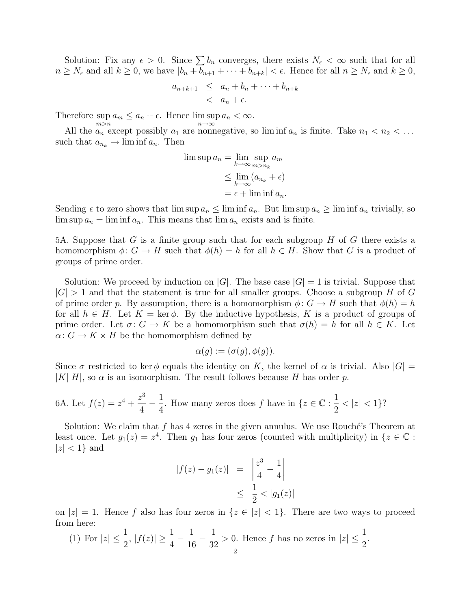Solution: Fix any  $\epsilon > 0$ . Since  $\sum b_n$  converges, there exists  $N_{\epsilon} < \infty$  such that for all  $n \geq N_{\epsilon}$  and all  $k \geq 0$ , we have  $|b_n + b_{n+1} + \cdots + b_{n+k}| < \epsilon$ . Hence for all  $n \geq N_{\epsilon}$  and  $k \geq 0$ ,

$$
a_{n+k+1} \leq a_n + b_n + \dots + b_{n+k}
$$
  

$$
< a_n + \epsilon.
$$

Therefore sup  $\sup_{m>n} a_m \leq a_n + \epsilon$ . Hence  $\limsup_{n\to\infty} a_n < \infty$ .

All the  $a_n$  except possibly  $a_1$  are nonnegative, so liminf  $a_n$  is finite. Take  $n_1 < n_2 < \ldots$ such that  $a_{n_k} \to \liminf a_n$ . Then

$$
\limsup a_n = \lim_{k \to \infty} \sup_{m > n_k} a_m
$$
  
\n
$$
\leq \lim_{k \to \infty} (a_{n_k} + \epsilon)
$$
  
\n
$$
= \epsilon + \liminf a_n.
$$

Sending  $\epsilon$  to zero shows that lim sup  $a_n \leq \liminf a_n$ . But  $\limsup a_n \geq \liminf a_n$  trivially, so  $\limsup a_n = \liminf a_n$ . This means that  $\lim a_n$  exists and is finite.

5A. Suppose that G is a finite group such that for each subgroup  $H$  of G there exists a homomorphism  $\phi: G \to H$  such that  $\phi(h) = h$  for all  $h \in H$ . Show that G is a product of groups of prime order.

Solution: We proceed by induction on  $|G|$ . The base case  $|G| = 1$  is trivial. Suppose that  $|G| > 1$  and that the statement is true for all smaller groups. Choose a subgroup H of G of prime order p. By assumption, there is a homomorphism  $\phi: G \to H$  such that  $\phi(h) = h$ for all  $h \in H$ . Let  $K = \text{ker } \phi$ . By the inductive hypothesis, K is a product of groups of prime order. Let  $\sigma: G \to K$  be a homomorphism such that  $\sigma(h) = h$  for all  $h \in K$ . Let  $\alpha: G \to K \times H$  be the homomorphism defined by

$$
\alpha(g) := (\sigma(g), \phi(g)).
$$

Since  $\sigma$  restricted to ker  $\phi$  equals the identity on K, the kernel of  $\alpha$  is trivial. Also  $|G|$  =  $|K||H|$ , so  $\alpha$  is an isomorphism. The result follows because H has order p.

6A. Let 
$$
f(z) = z^4 + \frac{z^3}{4} - \frac{1}{4}
$$
. How many zeros does f have in  $\{z \in \mathbb{C} : \frac{1}{2} < |z| < 1\}$ ?

Solution: We claim that  $f$  has 4 zeros in the given annulus. We use Rouché's Theorem at least once. Let  $g_1(z) = z^4$ . Then  $g_1$  has four zeros (counted with multiplicity) in  $\{z \in \mathbb{C} :$  $|z| < 1$ } and

$$
|f(z) - g_1(z)| = \left| \frac{z^3}{4} - \frac{1}{4} \right|
$$
  
 
$$
\leq \frac{1}{2} < |g_1(z)|
$$

on  $|z| = 1$ . Hence f also has four zeros in  $\{z \in |z| < 1\}$ . There are two ways to proceed from here:

(1) For 
$$
|z| \le \frac{1}{2}
$$
,  $|f(z)| \ge \frac{1}{4} - \frac{1}{16} - \frac{1}{32} > 0$ . Hence  $f$  has no zeros in  $|z| \le \frac{1}{2}$ .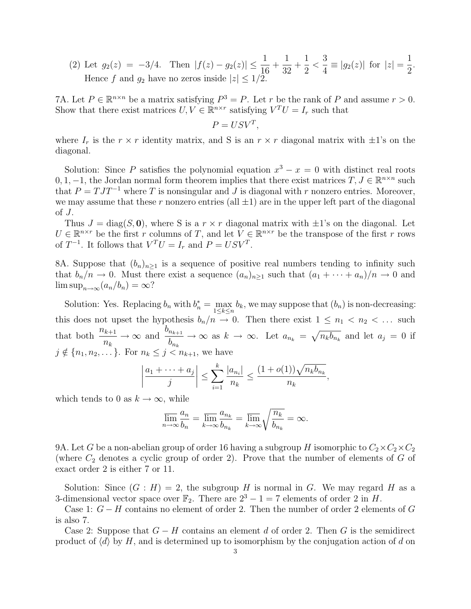(2) Let  $g_2(z) = -3/4$ . Then  $|f(z) - g_2(z)| \leq \frac{1}{16}$  $+$ 1 32  $+$ 1 2  $\lt$ 3  $\frac{3}{4} \equiv |g_2(z)|$  for  $|z| = \frac{1}{2}$ 2 . Hence f and  $g_2$  have no zeros inside  $|z| \leq 1/2$ .

7A. Let  $P \in \mathbb{R}^{n \times n}$  be a matrix satisfying  $P^3 = P$ . Let r be the rank of P and assume  $r > 0$ . Show that there exist matrices  $U, V \in \mathbb{R}^{n \times r}$  satisfying  $V^T U = I_r$  such that

$$
P = USV^T,
$$

where  $I_r$  is the  $r \times r$  identity matrix, and S is an  $r \times r$  diagonal matrix with  $\pm 1$ 's on the diagonal.

Solution: Since P satisfies the polynomial equation  $x^3 - x = 0$  with distinct real roots 0, 1, -1, the Jordan normal form theorem implies that there exist matrices  $T, J \in \mathbb{R}^{n \times n}$  such that  $P = T J T^{-1}$  where T is nonsingular and J is diagonal with r nonzero entries. Moreover, we may assume that these r nonzero entries (all  $\pm 1$ ) are in the upper left part of the diagonal of J.

Thus  $J = diag(S, 0)$ , where S is a  $r \times r$  diagonal matrix with  $\pm 1$ 's on the diagonal. Let  $U \in \mathbb{R}^{n \times r}$  be the first r columns of T, and let  $V \in \mathbb{R}^{n \times r}$  be the transpose of the first r rows of  $T^{-1}$ . It follows that  $V^{T}U = I_{r}$  and  $P = USV^{T}$ .

8A. Suppose that  $(b_n)_{n>1}$  is a sequence of positive real numbers tending to infinity such that  $b_n/n \to 0$ . Must there exist a sequence  $(a_n)_{n>1}$  such that  $(a_1 + \cdots + a_n)/n \to 0$  and  $\limsup_{n\to\infty}(a_n/b_n)=\infty$ ?

Solution: Yes. Replacing  $b_n$  with  $b_n^* = \max_{1 \le k \le n} b_k$ , we may suppose that  $(b_n)$  is non-decreasing: this does not upset the hypothesis  $b_n/n \to 0$ . Then there exist  $1 \leq n_1 < n_2 < \dots$  such that both  $\frac{n_{k+1}}{n_k}$  $n_k$  $\rightarrow \infty$  and  $\frac{b_{n_{k+1}}}{1}$  $b_{n_k}$  $\rightarrow \infty$  as  $k \rightarrow \infty$ . Let  $a_{n_k} = \sqrt{n_k b_{n_k}}$  and let  $a_j = 0$  if  $j \notin \{n_1, n_2, \ldots\}$ . For  $n_k \leq j \leq n_{k+1}$ , we have

$$
\left|\frac{a_1+\cdots+a_j}{j}\right| \leq \sum_{i=1}^k \frac{|a_{n_i}|}{n_k} \leq \frac{(1+o(1))\sqrt{n_k b_{n_k}}}{n_k},
$$

which tends to 0 as  $k \to \infty$ , while

$$
\overline{\lim}_{n \to \infty} \frac{a_n}{b_n} = \overline{\lim}_{k \to \infty} \frac{a_{n_k}}{b_{n_k}} = \overline{\lim}_{k \to \infty} \sqrt{\frac{n_k}{b_{n_k}}} = \infty.
$$

9A. Let G be a non-abelian group of order 16 having a subgroup H isomorphic to  $C_2 \times C_2 \times C_2$ (where  $C_2$  denotes a cyclic group of order 2). Prove that the number of elements of  $G$  of exact order 2 is either 7 or 11.

Solution: Since  $(G : H) = 2$ , the subgroup H is normal in G. We may regard H as a 3-dimensional vector space over  $\mathbb{F}_2$ . There are  $2^3 - 1 = 7$  elements of order 2 in H.

Case 1:  $G - H$  contains no element of order 2. Then the number of order 2 elements of G is also 7.

Case 2: Suppose that  $G - H$  contains an element d of order 2. Then G is the semidirect product of  $\langle d \rangle$  by H, and is determined up to isomorphism by the conjugation action of d on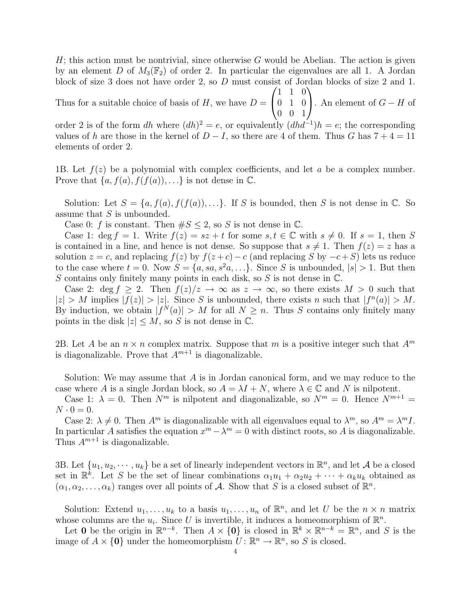$H$ ; this action must be nontrivial, since otherwise G would be Abelian. The action is given by an element D of  $M_3(\mathbb{F}_2)$  of order 2. In particular the eigenvalues are all 1. A Jordan block of size 3 does not have order 2, so D must consist of Jordan blocks of size 2 and 1.  $\sqrt{ }$  $\setminus$ 

Thus for a suitable choice of basis of  $H$ , we have  $D =$  $\overline{1}$ 1 1 0 0 1 0 0 0 1 . An element of  $G - H$  of

order 2 is of the form dh where  $(dh)^2 = e$ , or equivalently  $(dhd^{-1})h = e$ ; the corresponding values of h are those in the kernel of  $D-I$ , so there are 4 of them. Thus G has  $7+4=11$ elements of order 2.

1B. Let  $f(z)$  be a polynomial with complex coefficients, and let a be a complex number. Prove that  $\{a, f(a), f(f(a)), \ldots\}$  is not dense in  $\mathbb{C}$ .

Solution: Let  $S = \{a, f(a), f(f(a)), \ldots\}$ . If S is bounded, then S is not dense in C. So assume that S is unbounded.

Case 0: f is constant. Then  $\#S \leq 2$ , so S is not dense in  $\mathbb{C}$ .

Case 1: deg f = 1. Write  $f(z) = sz + t$  for some  $s, t \in \mathbb{C}$  with  $s \neq 0$ . If  $s = 1$ , then S is contained in a line, and hence is not dense. So suppose that  $s \neq 1$ . Then  $f(z) = z$  has a solution  $z = c$ , and replacing  $f(z)$  by  $f(z + c) - c$  (and replacing S by  $-c+S$ ) lets us reduce to the case where  $t = 0$ . Now  $S = \{a, sa, s^2a, ...\}$ . Since S is unbounded,  $|s| > 1$ . But then S contains only finitely many points in each disk, so  $S$  is not dense in  $\mathbb{C}$ .

Case 2: deg  $f \geq 2$ . Then  $f(z)/z \to \infty$  as  $z \to \infty$ , so there exists  $M > 0$  such that  $|z| > M$  implies  $|f(z)| > |z|$ . Since S is unbounded, there exists n such that  $|f^n(a)| > M$ . By induction, we obtain  $|f^N(a)| > M$  for all  $N \geq n$ . Thus S contains only finitely many points in the disk  $|z| \leq M$ , so S is not dense in  $\mathbb{C}$ .

2B. Let A be an  $n \times n$  complex matrix. Suppose that m is a positive integer such that  $A^m$ is diagonalizable. Prove that  $A^{m+1}$  is diagonalizable.

Solution: We may assume that A is in Jordan canonical form, and we may reduce to the case where A is a single Jordan block, so  $A = \lambda I + N$ , where  $\lambda \in \mathbb{C}$  and N is nilpotent.

Case 1:  $\lambda = 0$ . Then  $N^m$  is nilpotent and diagonalizable, so  $N^m = 0$ . Hence  $N^{m+1} =$  $N \cdot 0 = 0.$ 

Case 2:  $\lambda \neq 0$ . Then  $A^m$  is diagonalizable with all eigenvalues equal to  $\lambda^m$ , so  $A^m = \lambda^m I$ . In particular A satisfies the equation  $x^m - \lambda^m = 0$  with distinct roots, so A is diagonalizable. Thus  $A^{m+1}$  is diagonalizable.

3B. Let  $\{u_1, u_2, \dots, u_k\}$  be a set of linearly independent vectors in  $\mathbb{R}^n$ , and let A be a closed set in  $\mathbb{R}^k$ . Let S be the set of linear combinations  $\alpha_1u_1 + \alpha_2u_2 + \cdots + \alpha_ku_k$  obtained as  $(\alpha_1, \alpha_2, \ldots, \alpha_k)$  ranges over all points of A. Show that S is a closed subset of  $\mathbb{R}^n$ .

Solution: Extend  $u_1, \ldots, u_k$  to a basis  $u_1, \ldots, u_n$  of  $\mathbb{R}^n$ , and let U be the  $n \times n$  matrix whose columns are the  $u_i$ . Since U is invertible, it induces a homeomorphism of  $\mathbb{R}^n$ .

Let 0 be the origin in  $\mathbb{R}^{n-k}$ . Then  $A \times \{0\}$  is closed in  $\mathbb{R}^k \times \mathbb{R}^{n-k} = \mathbb{R}^n$ , and S is the image of  $A \times \{0\}$  under the homeomorphism  $U: \mathbb{R}^n \to \mathbb{R}^n$ , so S is closed.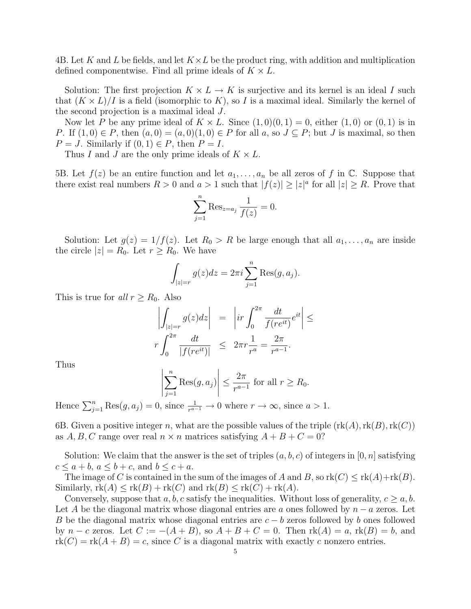4B. Let K and L be fields, and let  $K \times L$  be the product ring, with addition and multiplication defined componentwise. Find all prime ideals of  $K \times L$ .

Solution: The first projection  $K \times L \to K$  is surjective and its kernel is an ideal I such that  $(K \times L)/I$  is a field (isomorphic to K), so I is a maximal ideal. Similarly the kernel of the second projection is a maximal ideal J.

Now let P be any prime ideal of  $K \times L$ . Since  $(1,0)(0,1) = 0$ , either  $(1,0)$  or  $(0,1)$  is in P. If  $(1,0) \in P$ , then  $(a,0) = (a,0)(1,0) \in P$  for all  $a$ , so  $J \subseteq P$ ; but J is maximal, so then  $P = J$ . Similarly if  $(0, 1) \in P$ , then  $P = I$ .

Thus I and J are the only prime ideals of  $K \times L$ .

5B. Let  $f(z)$  be an entire function and let  $a_1, \ldots, a_n$  be all zeros of f in  $\mathbb C$ . Suppose that there exist real numbers  $R > 0$  and  $a > 1$  such that  $|f(z)| \ge |z|^a$  for all  $|z| \ge R$ . Prove that

$$
\sum_{j=1}^{n} \text{Res}_{z=a_j} \frac{1}{f(z)} = 0.
$$

Solution: Let  $g(z) = 1/f(z)$ . Let  $R_0 > R$  be large enough that all  $a_1, \ldots, a_n$  are inside the circle  $|z| = R_0$ . Let  $r \ge R_0$ . We have

$$
\int_{|z|=r} g(z)dz = 2\pi i \sum_{j=1}^{n} \text{Res}(g, a_j).
$$

This is true for all  $r \geq R_0$ . Also

$$
\left| \int_{|z|=r} g(z)dz \right| = \left| i r \int_0^{2\pi} \frac{dt}{f(re^{it})} e^{it} \right| \le
$$
  

$$
r \int_0^{2\pi} \frac{dt}{|f(re^{it})|} \le 2\pi r \frac{1}{r^a} = \frac{2\pi}{r^{a-1}}.
$$

Thus

$$
\left|\sum_{j=1}^n \text{Res}(g, a_j)\right| \le \frac{2\pi}{r^{a-1}} \text{ for all } r \ge R_0.
$$

Hence  $\sum_{j=1}^{n} \text{Res}(g, a_j) = 0$ , since  $\frac{1}{r^{a-1}} \to 0$  where  $r \to \infty$ , since  $a > 1$ .

6B. Given a positive integer n, what are the possible values of the triple  $(\text{rk}(A),\text{rk}(B),\text{rk}(C))$ as  $A, B, C$  range over real  $n \times n$  matrices satisfying  $A + B + C = 0$ ?

Solution: We claim that the answer is the set of triples  $(a, b, c)$  of integers in  $[0, n]$  satisfying  $c \le a + b, a \le b + c$ , and  $b \le c + a$ .

The image of C is contained in the sum of the images of A and B, so  $rk(C) \leq rk(A)+rk(B)$ . Similarly,  $rk(A) \leq rk(B) + rk(C)$  and  $rk(B) \leq rk(C) + rk(A)$ .

Conversely, suppose that  $a, b, c$  satisfy the inequalities. Without loss of generality,  $c \geq a, b$ . Let A be the diagonal matrix whose diagonal entries are a ones followed by  $n - a$  zeros. Let B be the diagonal matrix whose diagonal entries are  $c - b$  zeros followed by b ones followed by  $n - c$  zeros. Let  $C := -(A + B)$ , so  $A + B + C = 0$ . Then  $rk(A) = a$ ,  $rk(B) = b$ , and  $rk(C) = rk(A + B) = c$ , since C is a diagonal matrix with exactly c nonzero entries.